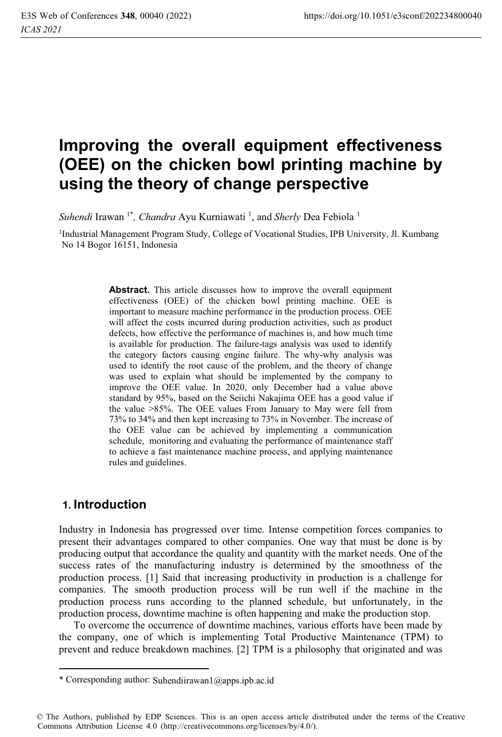# **Improving the overall equipment effectiveness (OEE) on the chicken bowl printing machine by using the theory of change perspective**

Suhendi Irawan <sup>1\*</sup>, *Chandra* Ayu Kurniawati<sup>1</sup>, and *Sherly* Dea Febiola<sup>1</sup>

<sup>1</sup>Industrial Management Program Study, College of Vocational Studies, IPB University, Jl. Kumbang No 14 Bogor 16151, Indonesia

> **Abstract.** This article discusses how to improve the overall equipment effectiveness (OEE) of the chicken bowl printing machine. OEE is important to measure machine performance in the production process. OEE will affect the costs incurred during production activities, such as product defects, how effective the performance of machines is, and how much time is available for production. The failure-tags analysis was used to identify the category factors causing engine failure. The why-why analysis was used to identify the root cause of the problem, and the theory of change was used to explain what should be implemented by the company to improve the OEE value. In 2020, only December had a value above standard by 95%, based on the Seiichi Nakajima OEE has a good value if the value >85%. The OEE values From January to May were fell from 73% to 34% and then kept increasing to 73% in November. The increase of the OEE value can be achieved by implementing a communication schedule, monitoring and evaluating the performance of maintenance staff to achieve a fast maintenance machine process, and applying maintenance rules and guidelines.

### **1. Introduction**

Industry in Indonesia has progressed over time. Intense competition forces companies to present their advantages compared to other companies. One way that must be done is by producing output that accordance the quality and quantity with the market needs. One of the success rates of the manufacturing industry is determined by the smoothness of the production process. [1] Said that increasing productivity in production is a challenge for companies. The smooth production process will be run well if the machine in the production process runs according to the planned schedule, but unfortunately, in the production process, downtime machine is often happening and make the production stop.

To overcome the occurrence of downtime machines, various efforts have been made by the company, one of which is implementing Total Productive Maintenance (TPM) to prevent and reduce breakdown machines. [2] TPM is a philosophy that originated and was

<sup>\*</sup> Corresponding author: Suhendiirawan1@apps.ipb.ac.id

<sup>©</sup> The Authors, published by EDP Sciences. This is an open access article distributed under the terms of the Creative Commons Attribution License 4.0 (http://creativecommons.org/licenses/by/4.0/).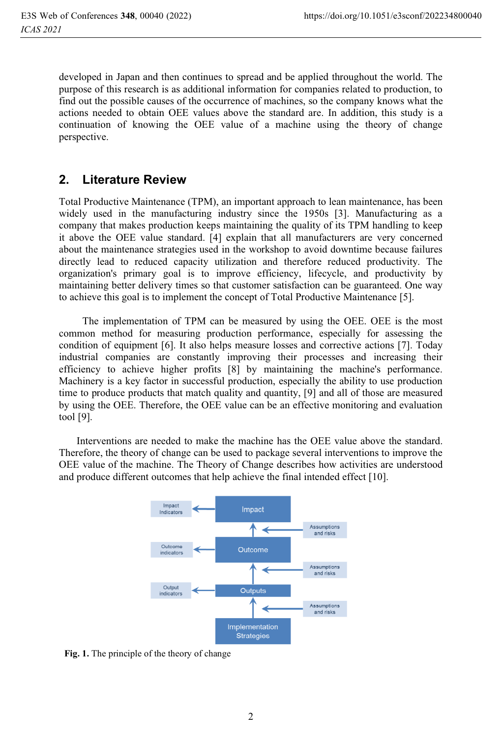developed in Japan and then continues to spread and be applied throughout the world. The purpose of this research is as additional information for companies related to production, to find out the possible causes of the occurrence of machines, so the company knows what the actions needed to obtain OEE values above the standard are. In addition, this study is a continuation of knowing the OEE value of a machine using the theory of change perspective.

## **2. Literature Review**

Total Productive Maintenance (TPM), an important approach to lean maintenance, has been widely used in the manufacturing industry since the 1950s [3]. Manufacturing as a company that makes production keeps maintaining the quality of its TPM handling to keep it above the OEE value standard. [4] explain that all manufacturers are very concerned about the maintenance strategies used in the workshop to avoid downtime because failures directly lead to reduced capacity utilization and therefore reduced productivity. The organization's primary goal is to improve efficiency, lifecycle, and productivity by maintaining better delivery times so that customer satisfaction can be guaranteed. One way to achieve this goal is to implement the concept of Total Productive Maintenance [5].

The implementation of TPM can be measured by using the OEE. OEE is the most common method for measuring production performance, especially for assessing the condition of equipment [6]. It also helps measure losses and corrective actions [7]. Today industrial companies are constantly improving their processes and increasing their efficiency to achieve higher profits [8] by maintaining the machine's performance. Machinery is a key factor in successful production, especially the ability to use production time to produce products that match quality and quantity, [9] and all of those are measured by using the OEE. Therefore, the OEE value can be an effective monitoring and evaluation tool [9].

 Interventions are needed to make the machine has the OEE value above the standard. Therefore, the theory of change can be used to package several interventions to improve the OEE value of the machine. The Theory of Change describes how activities are understood and produce different outcomes that help achieve the final intended effect [10].



**Fig. 1.** The principle of the theory of change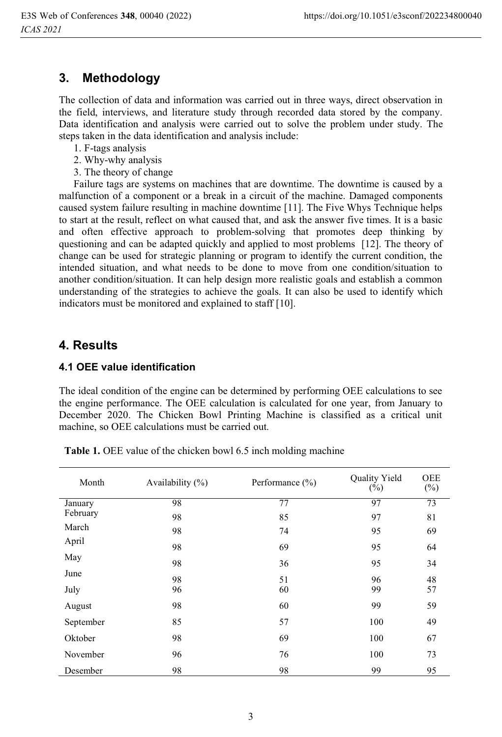## **3. Methodology**

The collection of data and information was carried out in three ways, direct observation in the field, interviews, and literature study through recorded data stored by the company. Data identification and analysis were carried out to solve the problem under study. The steps taken in the data identification and analysis include:

- 1. F-tags analysis
- 2. Why-why analysis
- 3. The theory of change

Failure tags are systems on machines that are downtime. The downtime is caused by a malfunction of a component or a break in a circuit of the machine. Damaged components caused system failure resulting in machine downtime [11]. The Five Whys Technique helps to start at the result, reflect on what caused that, and ask the answer five times. It is a basic and often effective approach to problem-solving that promotes deep thinking by questioning and can be adapted quickly and applied to most problems [12]. The theory of change can be used for strategic planning or program to identify the current condition, the intended situation, and what needs to be done to move from one condition/situation to another condition/situation. It can help design more realistic goals and establish a common understanding of the strategies to achieve the goals. It can also be used to identify which indicators must be monitored and explained to staff [10].

## **4. Results**

#### **4.1 OEE value identification**

The ideal condition of the engine can be determined by performing OEE calculations to see the engine performance. The OEE calculation is calculated for one year, from January to December 2020. The Chicken Bowl Printing Machine is classified as a critical unit machine, so OEE calculations must be carried out.

| Month     | Availability $(\%)$ | Performance $(\% )$ | Quality Yield<br>$(\%)$ | <b>OEE</b><br>$(\%)$ |
|-----------|---------------------|---------------------|-------------------------|----------------------|
| January   | 98                  | 77                  | 97                      | 73                   |
| February  | 98                  | 85                  | 97                      | 81                   |
| March     | 98                  | 74                  | 95                      | 69                   |
| April     | 98                  | 69                  | 95                      | 64                   |
| May       | 98                  | 36                  | 95                      | 34                   |
| June      | 98                  | 51                  | 96                      | 48                   |
| July      | 96                  | 60                  | 99                      | 57                   |
| August    | 98                  | 60                  | 99                      | 59                   |
| September | 85                  | 57                  | 100                     | 49                   |
| Oktober   | 98                  | 69                  | 100                     | 67                   |
| November  | 96                  | 76                  | 100                     | 73                   |
| Desember  | 98                  | 98                  | 99                      | 95                   |

**Table 1.** OEE value of the chicken bowl 6.5 inch molding machine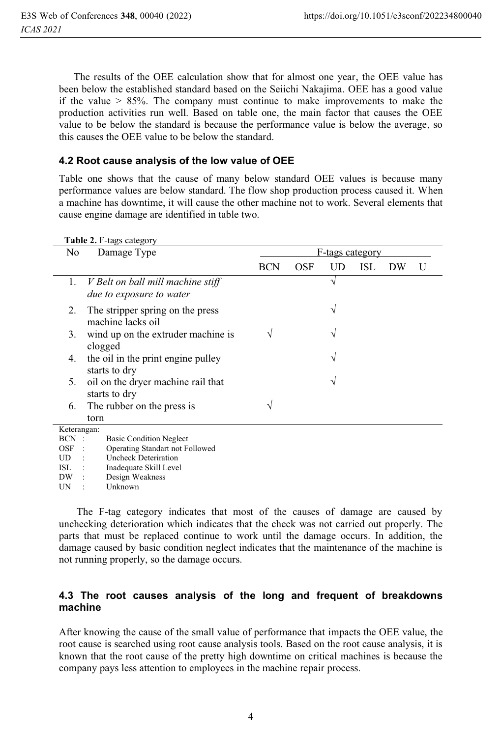The results of the OEE calculation show that for almost one year, the OEE value has been below the established standard based on the Seiichi Nakajima. OEE has a good value if the value > 85%. The company must continue to make improvements to make the production activities run well. Based on table one, the main factor that causes the OEE value to be below the standard is because the performance value is below the average, so this causes the OEE value to be below the standard.

#### **4.2 Root cause analysis of the low value of OEE**

Table one shows that the cause of many below standard OEE values is because many performance values are below standard. The flow shop production process caused it. When a machine has downtime, it will cause the other machine not to work. Several elements that cause engine damage are identified in table two.

| No           | Damage Type                                                          | F-tags category |     |    |            |    |   |
|--------------|----------------------------------------------------------------------|-----------------|-----|----|------------|----|---|
|              |                                                                      | <b>BCN</b>      | OSF | UD | <b>ISL</b> | DW | U |
| 1.           | V Belt on ball mill machine stiff<br><i>due to exposure to water</i> |                 |     | ٦  |            |    |   |
| 2.           | The stripper spring on the press<br>machine lacks oil                |                 |     | V  |            |    |   |
| 3.           | wind up on the extruder machine is<br>clogged                        |                 |     |    |            |    |   |
| 4.           | the oil in the print engine pulley<br>starts to dry                  |                 |     |    |            |    |   |
| 5.           | oil on the dryer machine rail that<br>starts to dry                  |                 |     |    |            |    |   |
| 6.           | The rubber on the press is                                           |                 |     |    |            |    |   |
|              | torn                                                                 |                 |     |    |            |    |   |
| Keterangan:  |                                                                      |                 |     |    |            |    |   |
| BCN :<br>OSF | <b>Basic Condition Neglect</b><br>Operating Standart not Followed    |                 |     |    |            |    |   |
| UD           | <b>Uncheck Deteriration</b>                                          |                 |     |    |            |    |   |
| <b>ISL</b>   | Inadequate Skill Level                                               |                 |     |    |            |    |   |
| DW           | Design Weakness                                                      |                 |     |    |            |    |   |
| UN           | Unknown                                                              |                 |     |    |            |    |   |

#### **Table 2.** F-tags category

 The F-tag category indicates that most of the causes of damage are caused by unchecking deterioration which indicates that the check was not carried out properly. The parts that must be replaced continue to work until the damage occurs. In addition, the damage caused by basic condition neglect indicates that the maintenance of the machine is not running properly, so the damage occurs.

#### **4.3 The root causes analysis of the long and frequent of breakdowns machine**

After knowing the cause of the small value of performance that impacts the OEE value, the root cause is searched using root cause analysis tools. Based on the root cause analysis, it is known that the root cause of the pretty high downtime on critical machines is because the company pays less attention to employees in the machine repair process.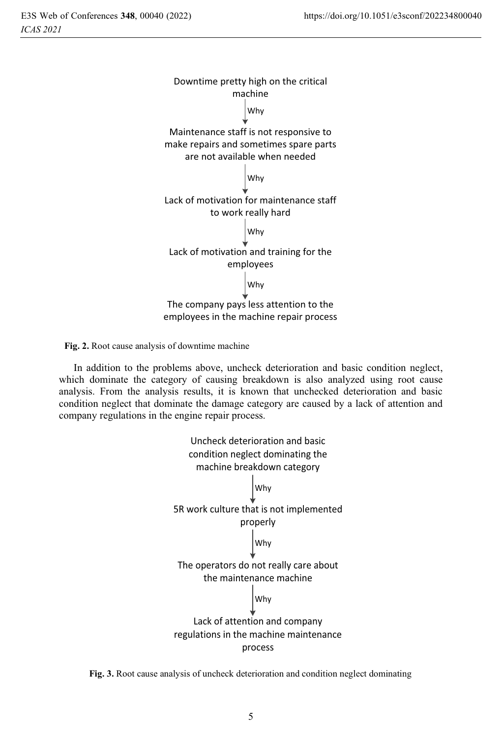

**Fig. 2.** Root cause analysis of downtime machine

In addition to the problems above, uncheck deterioration and basic condition neglect, which dominate the category of causing breakdown is also analyzed using root cause analysis. From the analysis results, it is known that unchecked deterioration and basic condition neglect that dominate the damage category are caused by a lack of attention and company regulations in the engine repair process.



**Fig. 3.** Root cause analysis of uncheck deterioration and condition neglect dominating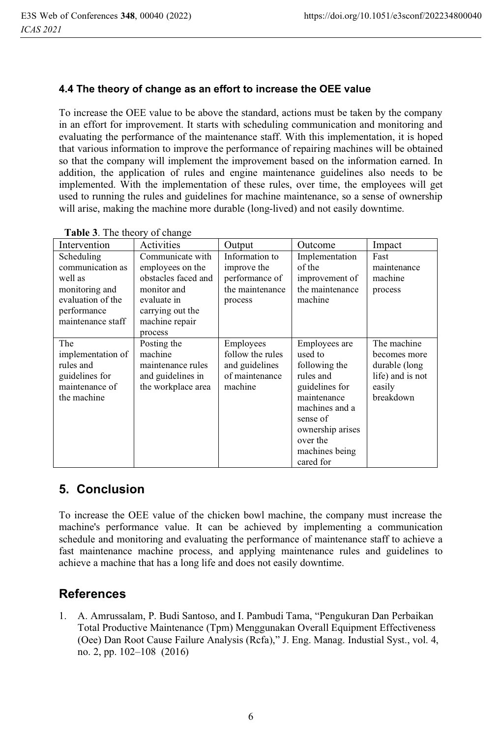#### **4.4 The theory of change as an effort to increase the OEE value**

To increase the OEE value to be above the standard, actions must be taken by the company in an effort for improvement. It starts with scheduling communication and monitoring and evaluating the performance of the maintenance staff. With this implementation, it is hoped that various information to improve the performance of repairing machines will be obtained so that the company will implement the improvement based on the information earned. In addition, the application of rules and engine maintenance guidelines also needs to be implemented. With the implementation of these rules, over time, the employees will get used to running the rules and guidelines for machine maintenance, so a sense of ownership will arise, making the machine more durable (long-lived) and not easily downtime.

| Intervention                                                                                                         | Activities                                                                                                                                 | Output                                                                        | Outcome                                                                                                                                                                              | Impact                                                                                  |
|----------------------------------------------------------------------------------------------------------------------|--------------------------------------------------------------------------------------------------------------------------------------------|-------------------------------------------------------------------------------|--------------------------------------------------------------------------------------------------------------------------------------------------------------------------------------|-----------------------------------------------------------------------------------------|
| Scheduling<br>communication as<br>well as<br>monitoring and<br>evaluation of the<br>performance<br>maintenance staff | Communicate with<br>employees on the<br>obstacles faced and<br>monitor and<br>evaluate in<br>carrying out the<br>machine repair<br>process | Information to<br>improve the<br>performance of<br>the maintenance<br>process | Implementation<br>of the<br>improvement of<br>the maintenance<br>machine                                                                                                             | Fast<br>maintenance<br>machine<br>process                                               |
| The<br>implementation of<br>rules and<br>guidelines for<br>maintenance of<br>the machine                             | Posting the<br>machine<br>maintenance rules<br>and guidelines in<br>the workplace area                                                     | Employees<br>follow the rules<br>and guidelines<br>of maintenance<br>machine  | Employees are<br>used to<br>following the<br>rules and<br>guidelines for<br>maintenance<br>machines and a<br>sense of<br>ownership arises<br>over the<br>machines being<br>cared for | The machine<br>becomes more<br>durable (long<br>life) and is not<br>easily<br>breakdown |

| Table 3. The theory of change |                    |
|-------------------------------|--------------------|
| nterwention.                  | $\Delta$ ctivities |

## **5. Conclusion**

To increase the OEE value of the chicken bowl machine, the company must increase the machine's performance value. It can be achieved by implementing a communication schedule and monitoring and evaluating the performance of maintenance staff to achieve a fast maintenance machine process, and applying maintenance rules and guidelines to achieve a machine that has a long life and does not easily downtime.

## **References**

1. A. Amrussalam, P. Budi Santoso, and I. Pambudi Tama, "Pengukuran Dan Perbaikan Total Productive Maintenance (Tpm) Menggunakan Overall Equipment Effectiveness (Oee) Dan Root Cause Failure Analysis (Rcfa)," J. Eng. Manag. Industial Syst., vol. 4, no. 2, pp. 102–108 (2016)